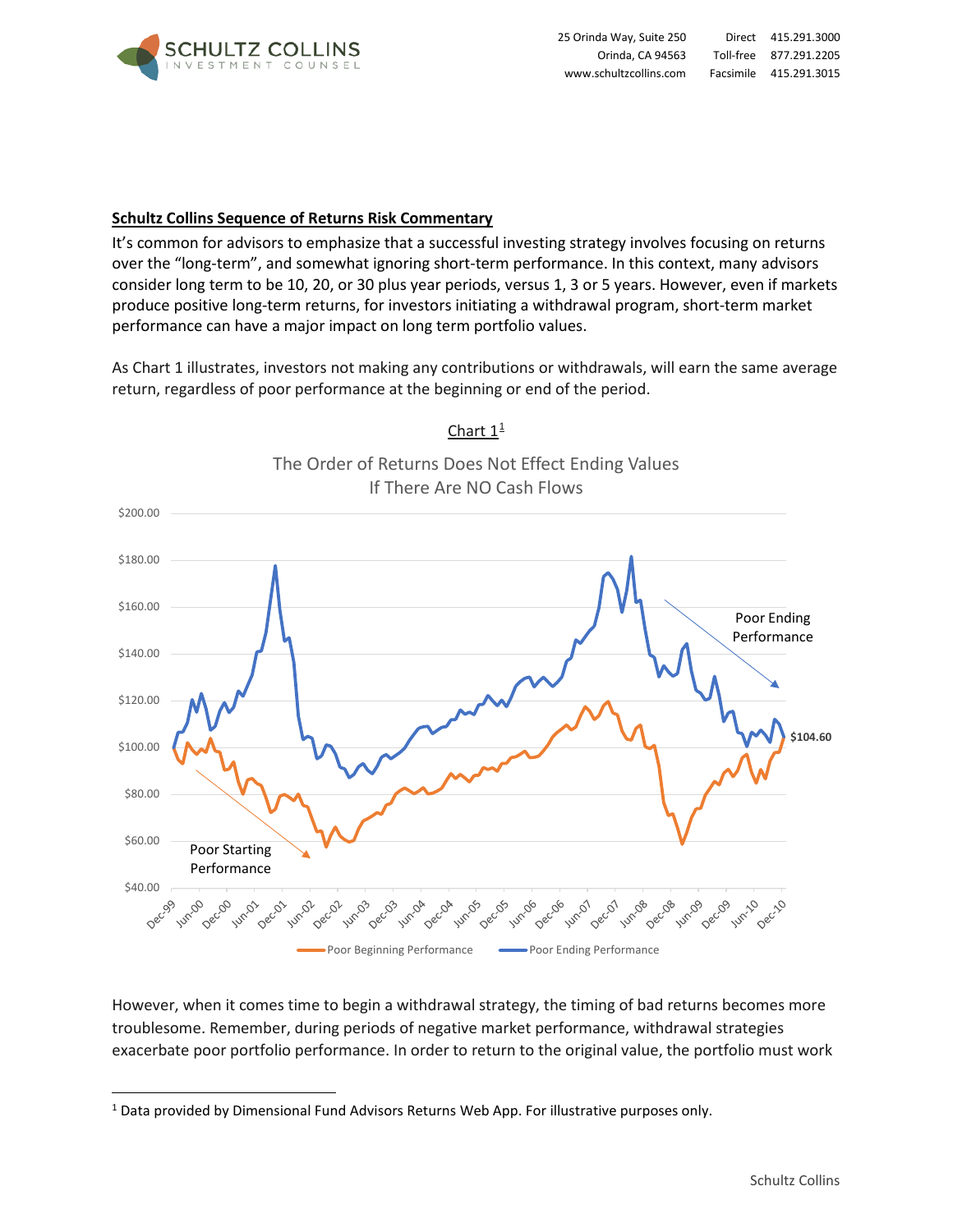

## **Schultz Collins Sequence of Returns Risk Commentary**

It's common for advisors to emphasize that a successful investing strategy involves focusing on returns over the "long-term", and somewhat ignoring short-term performance. In this context, many advisors consider long term to be 10, 20, or 30 plus year periods, versus 1, 3 or 5 years. However, even if markets produce positive long-term returns, for investors initiating a withdrawal program, short-term market performance can have a major impact on long term portfolio values.

As Chart 1 illustrates, investors not making any contributions or withdrawals, will earn the same average return, regardless of poor performance at the beginning or end of the period.



Chart  $1^{\frac{1}{2}}$  $1^{\frac{1}{2}}$ 

However, when it comes time to begin a withdrawal strategy, the timing of bad returns becomes more troublesome. Remember, during periods of negative market performance, withdrawal strategies exacerbate poor portfolio performance. In order to return to the original value, the portfolio must work

<span id="page-0-0"></span><sup>1</sup> Data provided by Dimensional Fund Advisors Returns Web App. For illustrative purposes only.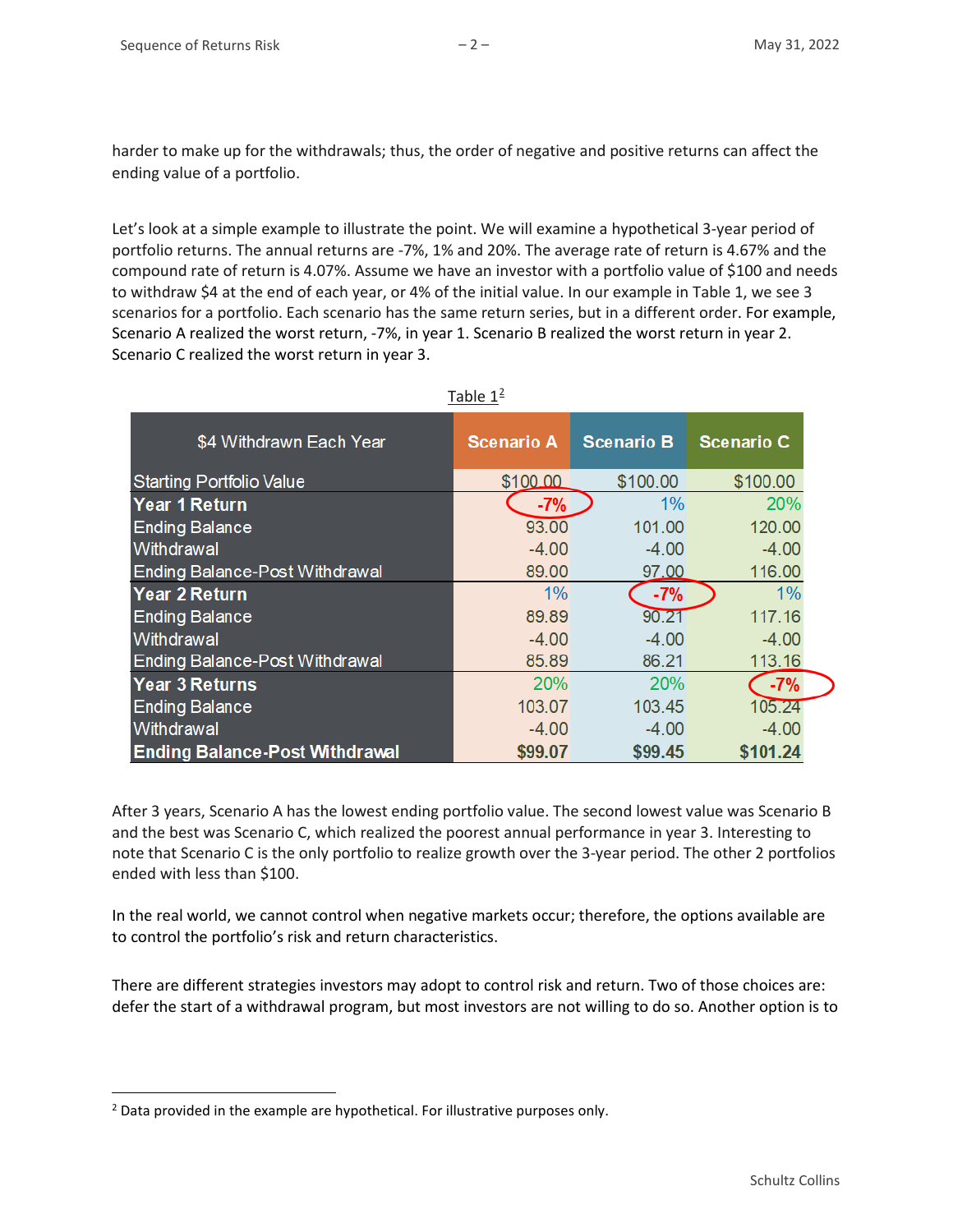harder to make up for the withdrawals; thus, the order of negative and positive returns can affect the ending value of a portfolio.

Let's look at a simple example to illustrate the point. We will examine a hypothetical 3-year period of portfolio returns. The annual returns are -7%, 1% and 20%. The average rate of return is 4.67% and the compound rate of return is 4.07%. Assume we have an investor with a portfolio value of \$100 and needs to withdraw \$4 at the end of each year, or 4% of the initial value. In our example in Table 1, we see 3 scenarios for a portfolio. Each scenario has the same return series, but in a different order. For example, Scenario A realized the worst return, -7%, in year 1. Scenario B realized the worst return in year 2. Scenario C realized the worst return in year 3.

| \$4 Withdrawn Each Year               | <b>Scenario A</b> | <b>Scenario B</b> | <b>Scenario C</b> |
|---------------------------------------|-------------------|-------------------|-------------------|
| <b>Starting Portfolio Value</b>       | \$100.00          | \$100.00          | \$100.00          |
| Year 1 Return                         | $-7%$             | $1\%$             | 20%               |
| <b>Ending Balance</b>                 | 93.00             | 101.00            | 120.00            |
| Withdrawal                            | $-4.00$           | $-4.00$           | $-4.00$           |
| <b>Ending Balance-Post Withdrawal</b> | 89.00             | 97.00             | 116.00            |
| Year 2 Return                         | $1\%$             | $-7%$             | $1\%$             |
| <b>Ending Balance</b>                 | 89.89             | 90.21             | 117.16            |
| Withdrawal                            | $-4.00$           | $-4.00$           | $-4.00$           |
| <b>Ending Balance-Post Withdrawal</b> | 85.89             | 86.21             | 113.16            |
| <b>Year 3 Returns</b>                 | 20%               | 20%               | $-7%$             |
| <b>Ending Balance</b>                 | 103.07            | 103.45            | 105.24            |
| Withdrawal                            | $-4.00$           | $-4.00$           | $-4.00$           |
| <b>Ending Balance-Post Withdrawal</b> | \$99.07           | \$99.45           | \$101.24          |

Table  $1<sup>2</sup>$  $1<sup>2</sup>$  $1<sup>2</sup>$ 

After 3 years, Scenario A has the lowest ending portfolio value. The second lowest value was Scenario B and the best was Scenario C, which realized the poorest annual performance in year 3. Interesting to note that Scenario C is the only portfolio to realize growth over the 3-year period. The other 2 portfolios ended with less than \$100.

In the real world, we cannot control when negative markets occur; therefore, the options available are to control the portfolio's risk and return characteristics.

There are different strategies investors may adopt to control risk and return. Two of those choices are: defer the start of a withdrawal program, but most investors are not willing to do so. Another option is to

<span id="page-1-0"></span><sup>&</sup>lt;sup>2</sup> Data provided in the example are hypothetical. For illustrative purposes only.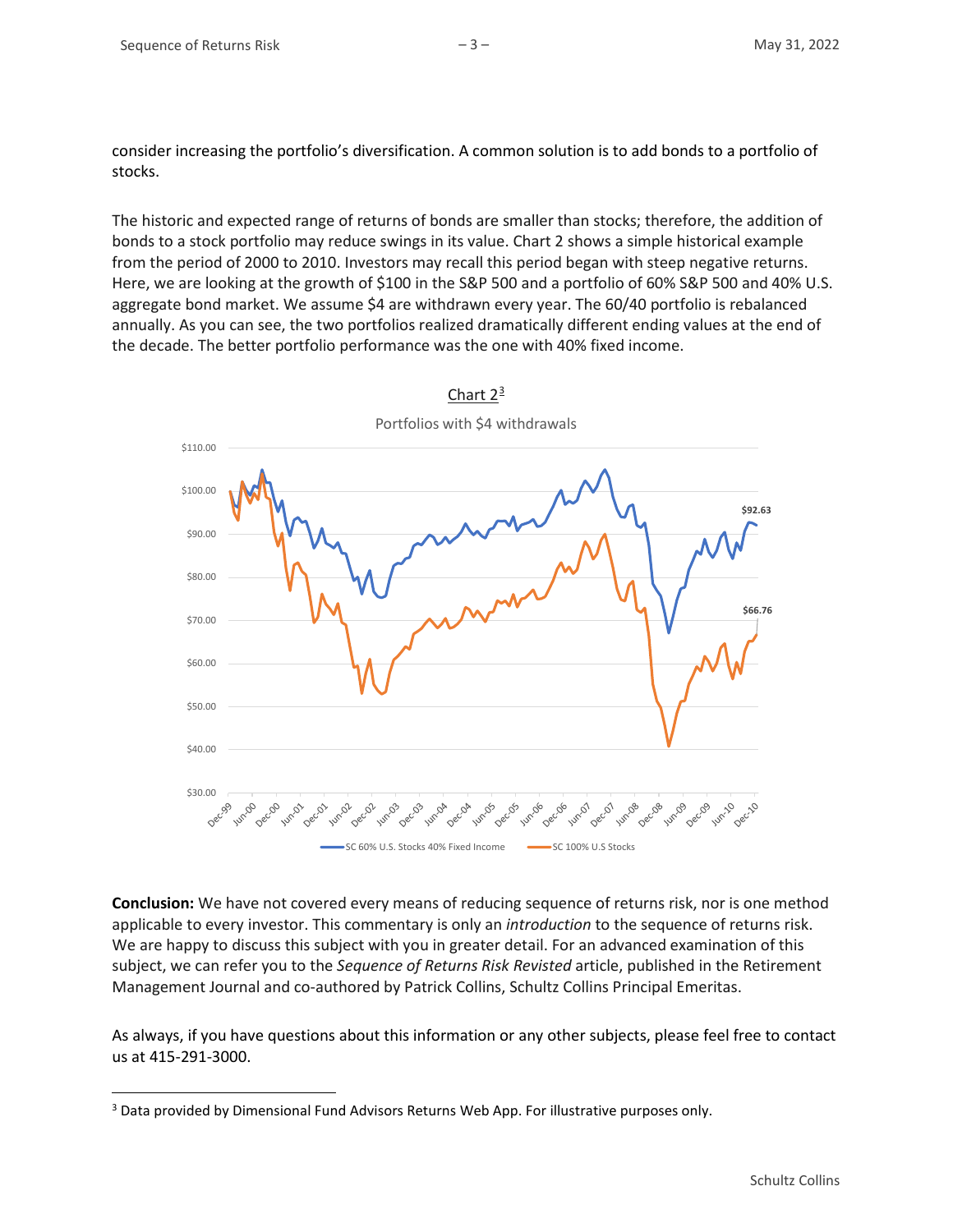consider increasing the portfolio's diversification. A common solution is to add bonds to a portfolio of stocks.

The historic and expected range of returns of bonds are smaller than stocks; therefore, the addition of bonds to a stock portfolio may reduce swings in its value. Chart 2 shows a simple historical example from the period of 2000 to 2010. Investors may recall this period began with steep negative returns. Here, we are looking at the growth of \$100 in the S&P 500 and a portfolio of 60% S&P 500 and 40% U.S. aggregate bond market. We assume \$4 are withdrawn every year. The 60/40 portfolio is rebalanced annually. As you can see, the two portfolios realized dramatically different ending values at the end of the decade. The better portfolio performance was the one with 40% fixed income.



Chart  $2^{\frac{3}{2}}$  $2^{\frac{3}{2}}$  $2^{\frac{3}{2}}$ 

**Conclusion:** We have not covered every means of reducing sequence of returns risk, nor is one method applicable to every investor. This commentary is only an *introduction* to the sequence of returns risk. We are happy to discuss this subject with you in greater detail. For an advanced examination of this subject, we can refer you to the *Sequence of Returns Risk Revisted* article, published in the Retirement Management Journal and co-authored by Patrick Collins, Schultz Collins Principal Emeritas.

As always, if you have questions about this information or any other subjects, please feel free to contact us at 415-291-3000.

<span id="page-2-0"></span><sup>3</sup> Data provided by Dimensional Fund Advisors Returns Web App. For illustrative purposes only.